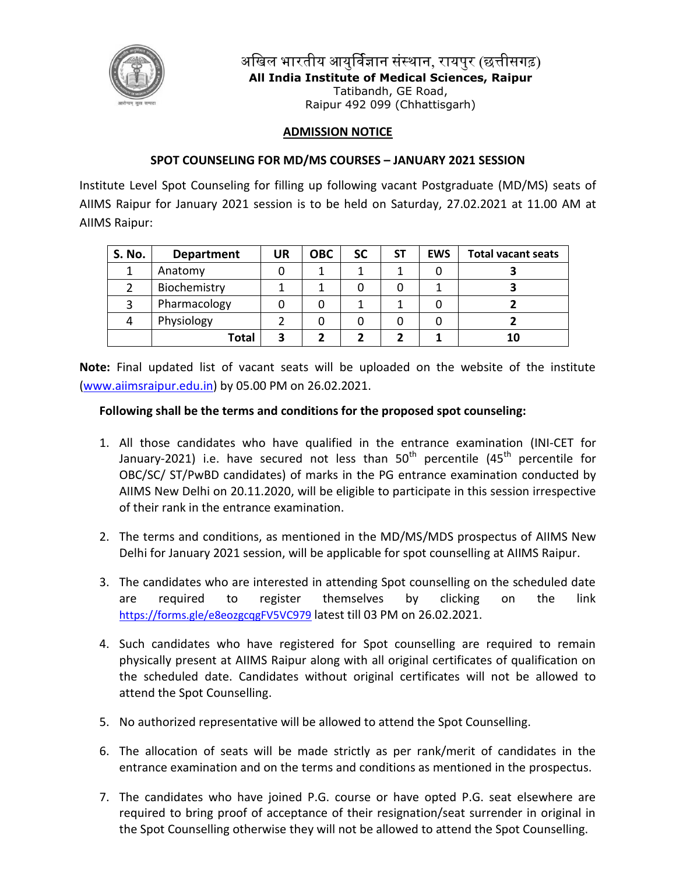

अखिल भारतीय आयुर्विज्ञान संस्थान, रायपुर (छत्तीसगढ़) **All India Institute of Medical Sciences, Raipur** Tatibandh, GE Road, Raipur 492 099 (Chhattisgarh)

## **ADMISSION NOTICE**

## **SPOT COUNSELING FOR MD/MS COURSES – JANUARY 2021 SESSION**

Institute Level Spot Counseling for filling up following vacant Postgraduate (MD/MS) seats of AIIMS Raipur for January 2021 session is to be held on Saturday, 27.02.2021 at 11.00 AM at AIIMS Raipur:

| S. No. | <b>Department</b> | UR | <b>OBC</b> | <b>SC</b> | SΤ | <b>EWS</b> | <b>Total vacant seats</b> |
|--------|-------------------|----|------------|-----------|----|------------|---------------------------|
|        | Anatomy           |    |            |           |    |            |                           |
|        | Biochemistry      |    |            |           |    |            |                           |
|        | Pharmacology      |    |            |           |    |            |                           |
|        | Physiology        |    |            |           |    |            |                           |
|        | Total             |    |            |           |    |            | 10                        |

**Note:** Final updated list of vacant seats will be uploaded on the website of the institute [\(www.aiimsraipur.edu.in\)](http://www.aiimsraipur.edu.in/) by 05.00 PM on 26.02.2021.

## **Following shall be the terms and conditions for the proposed spot counseling:**

- 1. All those candidates who have qualified in the entrance examination (INI-CET for January-2021) i.e. have secured not less than  $50<sup>th</sup>$  percentile (45<sup>th</sup> percentile for OBC/SC/ ST/PwBD candidates) of marks in the PG entrance examination conducted by AIIMS New Delhi on 20.11.2020, will be eligible to participate in this session irrespective of their rank in the entrance examination.
- 2. The terms and conditions, as mentioned in the MD/MS/MDS prospectus of AIIMS New Delhi for January 2021 session, will be applicable for spot counselling at AIIMS Raipur.
- 3. The candidates who are interested in attending Spot counselling on the scheduled date are required to register themselves by clicking on the link <https://forms.gle/e8eozgcqgFV5VC979> latest till 03 PM on 26.02.2021.
- 4. Such candidates who have registered for Spot counselling are required to remain physically present at AIIMS Raipur along with all original certificates of qualification on the scheduled date. Candidates without original certificates will not be allowed to attend the Spot Counselling.
- 5. No authorized representative will be allowed to attend the Spot Counselling.
- 6. The allocation of seats will be made strictly as per rank/merit of candidates in the entrance examination and on the terms and conditions as mentioned in the prospectus.
- 7. The candidates who have joined P.G. course or have opted P.G. seat elsewhere are required to bring proof of acceptance of their resignation/seat surrender in original in the Spot Counselling otherwise they will not be allowed to attend the Spot Counselling.